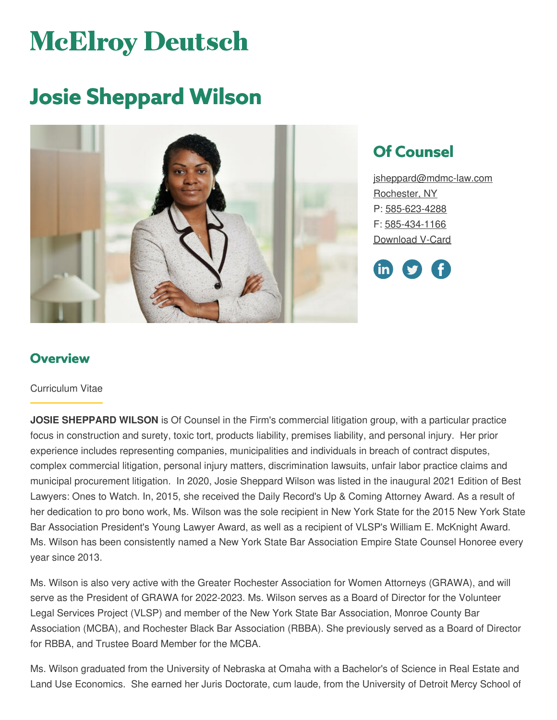# **McElroy Deutsch**

## **Josie Sheppard Wilson**



### **Of Counsel**

[jsheppard@mdmc-law.com](mailto:jsheppard@mdmc-law.com) [Rochester,](https://www.mdmc-law.com/offices/rochester) NY P: [585-623-4288](tel:585-623-4288) F: [585-434-1166](tel:585-434-1166) [Download](https://www.mdmc-law.com/node/455/vcard) V-Card



#### **Overview**

#### Curriculum Vitae

**JOSIE SHEPPARD WILSON** is Of Counsel in the Firm's commercial litigation group, with a particular practice focus in construction and surety, toxic tort, products liability, premises liability, and personal injury. Her prior experience includes representing companies, municipalities and individuals in breach of contract disputes, complex commercial litigation, personal injury matters, discrimination lawsuits, unfair labor practice claims and municipal procurement litigation. In 2020, Josie Sheppard Wilson was listed in the inaugural 2021 Edition of Best Lawyers: Ones to Watch. In, 2015, she received the Daily Record's Up & Coming Attorney Award. As a result of her dedication to pro bono work, Ms. Wilson was the sole recipient in New York State for the 2015 New York State Bar Association President's Young Lawyer Award, as well as a recipient of VLSP's William E. McKnight Award. Ms. Wilson has been consistently named a New York State Bar Association Empire State Counsel Honoree every year since 2013.

Ms. Wilson is also very active with the Greater Rochester Association for Women Attorneys (GRAWA), and will serve as the President of GRAWA for 2022-2023. Ms. Wilson serves as a Board of Director for the Volunteer Legal Services Project (VLSP) and member of the New York State Bar Association, Monroe County Bar Association (MCBA), and Rochester Black Bar Association (RBBA). She previously served as a Board of Director for RBBA, and Trustee Board Member for the MCBA.

Ms. Wilson graduated from the University of Nebraska at Omaha with a Bachelor's of Science in Real Estate and Land Use Economics. She earned her Juris Doctorate, cum laude, from the University of Detroit Mercy School of